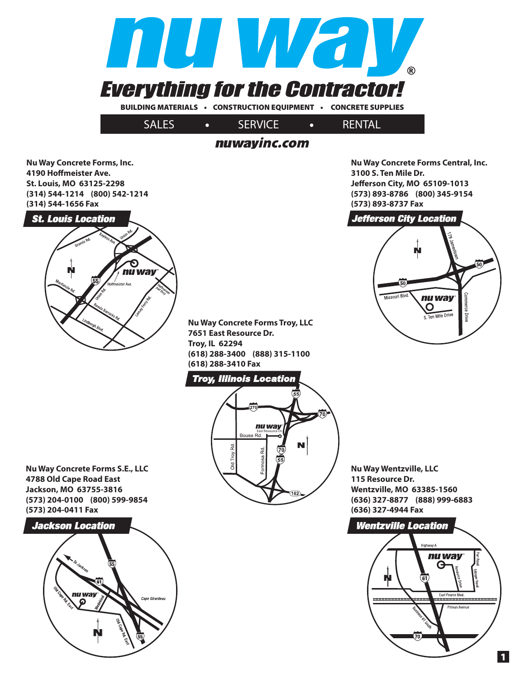

## nuwayinc.com

**Nu Way Concrete Forms, Inc. 4190 Hoffmeister Ave. St. Louis, MO 63125-2298 (314) 544-1214 (800) 542-1214 (314) 544-1656 Fax**



**Nu Way Concrete Forms Troy, LLC 7651 East Resource Dr. Troy, IL 62294 (618) 288-3400 (888) 315-1100 (618) 288-3410 Fax**

### **Troy, Illinois Location**



**Nu Way Wentzville, LLC 115 Resource Dr. Wentzville, MO 63385-1560 (636) 327-8877 (888) 999-6883 (636) 327-4944 Fax**

**Nu Way Concrete Forms Central, Inc.** 

50

merce Driv

**Jeff erson City, MO 65109-1013 (573) 893-8786 (800) 345-9154**

**Jefferson City Location** 

Missouri Blvd.

nu way

 $\mathbf{O}$ Ten Mile Drive

**3100 S. Ten Mile Dr.** 

**(573) 893-8737 Fax**



**Nu Way Concrete Forms S.E., LLC 4788 Old Cape Road East Jackson, MO 63755-3816 (573) 204-0100 (800) 599-9854 (573) 204-0411 Fax**



**1**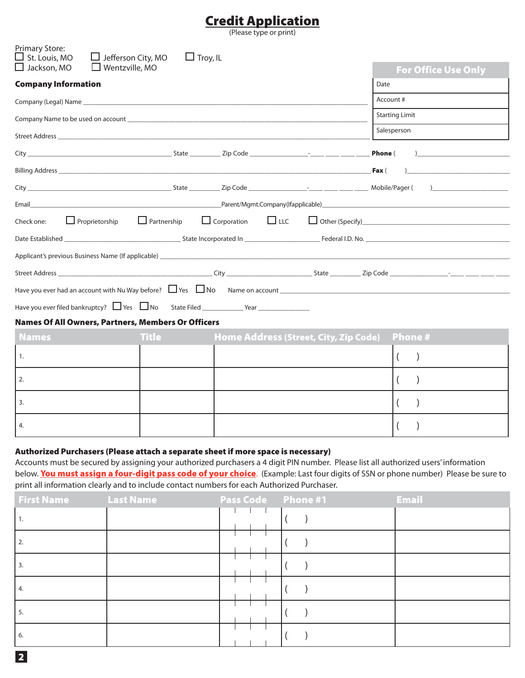# **Credit Application**

(Please type or print)

| <b>Company Information</b>                                                                                                                                                                                                     |                    |                                       |            |      |                       | <b>For Office Use Only</b>                    |
|--------------------------------------------------------------------------------------------------------------------------------------------------------------------------------------------------------------------------------|--------------------|---------------------------------------|------------|------|-----------------------|-----------------------------------------------|
|                                                                                                                                                                                                                                |                    |                                       |            | Date |                       |                                               |
|                                                                                                                                                                                                                                |                    |                                       |            |      | Account #             |                                               |
|                                                                                                                                                                                                                                |                    |                                       |            |      | <b>Starting Limit</b> |                                               |
|                                                                                                                                                                                                                                |                    |                                       |            |      | Salesperson           |                                               |
|                                                                                                                                                                                                                                |                    |                                       |            |      |                       | $\overline{a}$                                |
|                                                                                                                                                                                                                                |                    |                                       |            |      |                       | <u> 1980 - Andrea Andrew Maria (h. 1980).</u> |
|                                                                                                                                                                                                                                |                    |                                       |            |      |                       | $\overline{a}$                                |
| Email example and the contract of the contract of the Parent/Mgmt.Company(Ifapplicable) and the contract of the contract of the contract of the contract of the contract of the contract of the contract of the contract of th |                    |                                       |            |      |                       |                                               |
| $\Box$ Proprietorship<br>Check one:                                                                                                                                                                                            | $\Box$ Partnership | $\Box$ Corporation                    | $\Box$ LLC |      |                       |                                               |
|                                                                                                                                                                                                                                |                    |                                       |            |      |                       |                                               |
|                                                                                                                                                                                                                                |                    |                                       |            |      |                       |                                               |
|                                                                                                                                                                                                                                |                    |                                       |            |      |                       |                                               |
| Have you ever had an account with Nu Way before? $\Box$ Yes $\Box$ No Name on account $\Box$                                                                                                                                   |                    |                                       |            |      |                       |                                               |
|                                                                                                                                                                                                                                |                    |                                       |            |      |                       |                                               |
| <b>Names Of All Owners, Partners, Members Or Officers</b>                                                                                                                                                                      |                    |                                       |            |      |                       |                                               |
| <b>Names</b>                                                                                                                                                                                                                   | <b>Title</b>       | Home Address (Street, City, Zip Code) |            |      |                       | <b>Phone#</b>                                 |
| 1.                                                                                                                                                                                                                             |                    |                                       |            |      | $\left($              | $\lambda$                                     |
| 2.                                                                                                                                                                                                                             |                    |                                       |            |      |                       |                                               |
| 3.                                                                                                                                                                                                                             |                    |                                       |            |      |                       |                                               |
| 4.                                                                                                                                                                                                                             |                    |                                       |            |      | $\overline{ }$        |                                               |

Accounts must be secured by assigning your authorized purchasers a 4 digit PIN number. Please list all authorized users' information below. **You must assign a four-digit pass code of your choice**. (Example: Last four digits of SSN or phone number) Please be sure to print all information clearly and to include contact numbers for each Authorized Purchaser.

| <b>First Name</b> Last Name | <b>Pass Code</b> Phone #1 | <b>Email</b> |
|-----------------------------|---------------------------|--------------|
| l 1.                        |                           |              |
| l 2.                        |                           |              |
| I 3.                        |                           |              |
| l 4.                        |                           |              |
| - 5.                        |                           |              |
| 6.                          |                           |              |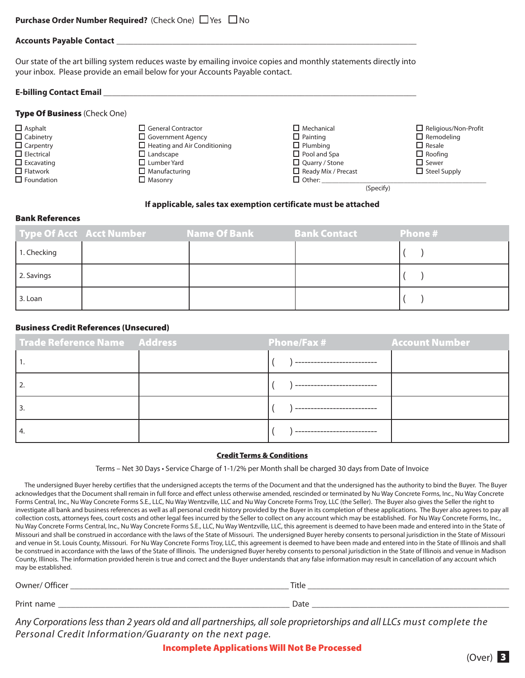| <b>Purchase Order Number Required?</b> (Check One) $\Box$ Yes $\Box$ No |  |  |  |  |  |
|-------------------------------------------------------------------------|--|--|--|--|--|
|-------------------------------------------------------------------------|--|--|--|--|--|

#### **Accounts Payable Contact** \_\_\_\_\_\_\_\_\_\_\_\_\_\_\_\_\_\_\_\_\_\_\_\_\_\_\_\_\_\_\_\_\_\_\_\_\_\_\_\_\_\_\_\_\_\_\_\_\_\_\_\_\_\_\_\_\_\_\_\_\_\_\_\_\_\_\_\_\_\_

Our state of the art billing system reduces waste by emailing invoice copies and monthly statements directly into your inbox. Please provide an email below for your Accounts Payable contact.

#### **E-billing Contact Email** \_\_\_\_\_\_\_\_\_\_\_\_\_\_\_\_\_\_\_\_\_\_\_\_\_\_\_\_\_\_\_\_\_\_\_\_\_\_\_\_\_\_\_\_\_\_\_\_\_\_\_\_\_\_\_\_\_\_\_\_\_\_\_\_\_\_\_\_\_\_\_\_\_

|  |  |  | Type Of Business (Check One) |  |
|--|--|--|------------------------------|--|
|--|--|--|------------------------------|--|

- 
- 
- 

| $\Box$ Asphalt    | $\Box$ General Contractor           | $\square$ Mechanical       | $\Box$ Religious/Non-Profit |
|-------------------|-------------------------------------|----------------------------|-----------------------------|
| $\Box$ Cabinetry  | $\Box$ Government Agency            | $\Box$ Painting            | $\Box$ Remodeling           |
| $\Box$ Carpentry  | $\Box$ Heating and Air Conditioning | $\Box$ Plumbing            | $\Box$ Resale               |
| $\Box$ Electrical | $\Box$ Landscape                    | $\Box$ Pool and Spa        | $\Box$ Roofing              |
| $\Box$ Excavating | $\Box$ Lumber Yard                  | $\Box$ Quarry / Stone      | $\Box$ Sewer                |
| $\Box$ Flatwork   | $\Box$ Manufacturing                | $\Box$ Ready Mix / Precast | $\Box$ Steel Supply         |
| $\Box$ Foundation | $\Box$ Masonry                      | $\Box$ Other:              |                             |
|                   |                                     | (Specify)                  |                             |
|                   |                                     |                            |                             |

#### **If applicable, sales tax exemption certificate must be attached**

#### **Bank References**

|             | Type Of Acct Acct Number | Name Of Bank | Bank Contact | Phone # |
|-------------|--------------------------|--------------|--------------|---------|
| 1. Checking |                          |              |              |         |
| 2. Savings  |                          |              |              |         |
| 3. Loan     |                          |              |              |         |

#### **Business Credit References (Unsecured)**

| Trade Reference Name Address | Phone/Fax # | <b>Account Number</b> |
|------------------------------|-------------|-----------------------|
|                              |             |                       |
|                              |             |                       |
|                              |             |                       |
|                              |             |                       |

#### **Credit Terms & Conditions**

Terms – Net 30 Days • Service Charge of 1-1/2% per Month shall be charged 30 days from Date of Invoice

 The undersigned Buyer hereby certifies that the undersigned accepts the terms of the Document and that the undersigned has the authority to bind the Buyer. The Buyer acknowledges that the Document shall remain in full force and effect unless otherwise amended, rescinded or terminated by Nu Way Concrete Forms, Inc., Nu Way Concrete Forms Central, Inc., Nu Way Concrete Forms S.E., LLC, Nu Way Wentzville, LLC and Nu Way Concrete Forms Troy, LLC (the Seller). The Buyer also gives the Seller the right to investigate all bank and business references as well as all personal credit history provided by the Buyer in its completion of these applications. The Buyer also agrees to pay all collection costs, attorneys fees, court costs and other legal fees incurred by the Seller to collect on any account which may be established. For Nu Way Concrete Forms, Inc., Nu Way Concrete Forms Central, Inc., Nu Way Concrete Forms S.E., LLC, Nu Way Wentzville, LLC, this agreement is deemed to have been made and entered into in the State of Missouri and shall be construed in accordance with the laws of the State of Missouri. The undersigned Buyer hereby consents to personal jurisdiction in the State of Missouri and venue in St. Louis County, Missouri. For Nu Way Concrete Forms Troy, LLC, this agreement is deemed to have been made and entered into in the State of Illinois and shall be construed in accordance with the laws of the State of Illinois. The undersigned Buyer hereby consents to personal jurisdiction in the State of Illinois and venue in Madison County, Illinois. The information provided herein is true and correct and the Buyer understands that any false information may result in cancellation of any account which may be established.

| $O$ wner/<br>Officer | Title |
|----------------------|-------|
| Print name           | Date  |

*Any Corporations less than 2 years old and all partnerships, all sole proprietorships and all LLCs must complete the Personal Credit Information/Guaranty on the next page.*

**Incomplete Applications Will Not Be Processed**